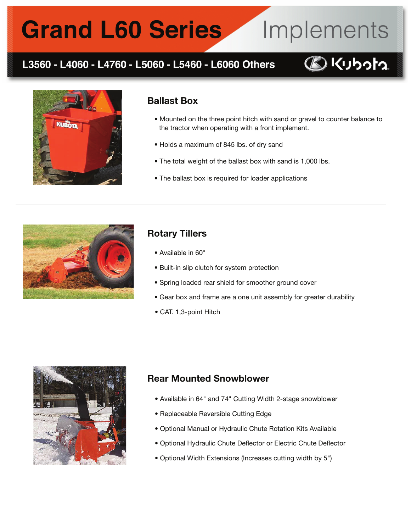# **Grand L60 Series**

## L3560 - L4060 - L4760 - L5060 - L5460 - L6060 Others



Implements



#### Ballast Box

- Mounted on the three point hitch with sand or gravel to counter balance to the tractor when operating with a front implement.
- Holds a maximum of 845 lbs. of dry sand
- The total weight of the ballast box with sand is 1,000 lbs.
- The ballast box is required for loader applications



### Rotary Tillers

- Available in 60"
- Built-in slip clutch for system protection
- Spring loaded rear shield for smoother ground cover
- Gear box and frame are a one unit assembly for greater durability
- CAT. 1,3-point Hitch

ֺ



## Rear Mounted Snowblower

- Available in 64" and 74" Cutting Width 2-stage snowblower
- Replaceable Reversible Cutting Edge
- Optional Manual or Hydraulic Chute Rotation Kits Available
- Optional Hydraulic Chute Deflector or Electric Chute Deflector
- Optional Width Extensions (Increases cutting width by 5")